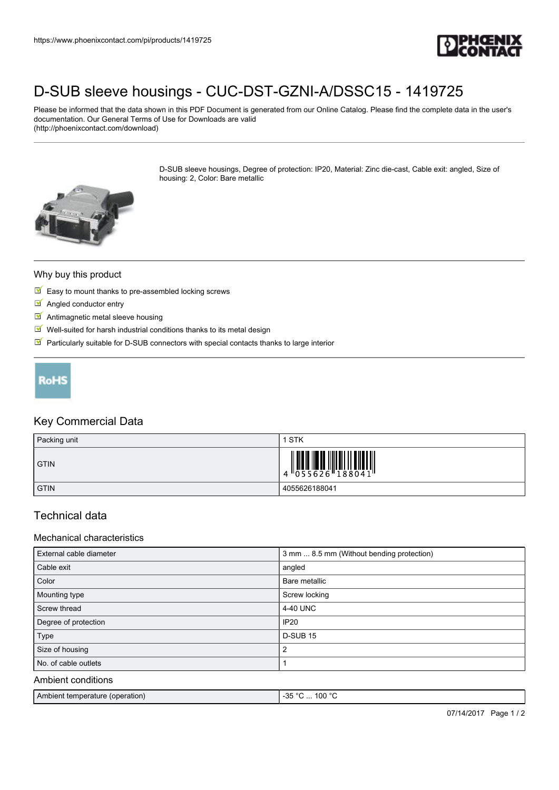

# [D-SUB sleeve housings - CUC-DST-GZNI-A/DSSC15 - 1419725](https://www.phoenixcontact.com/pi/products/1419725)

Please be informed that the data shown in this PDF Document is generated from our Online Catalog. Please find the complete data in the user's documentation. Our General Terms of Use for Downloads are valid (http://phoenixcontact.com/download)

> D-SUB sleeve housings, Degree of protection: IP20, Material: Zinc die-cast, Cable exit: angled, Size of housing: 2, Color: Bare metallic



#### Why buy this product

- $\blacksquare$  Easy to mount thanks to pre-assembled locking screws
- **M** Angled conductor entry
- **M** Antimagnetic metal sleeve housing
- $\blacksquare$  Well-suited for harsh industrial conditions thanks to its metal design
- $\blacksquare$  Particularly suitable for D-SUB connectors with special contacts thanks to large interior



### Key Commercial Data

| Packing unit | STK           |
|--------------|---------------|
| <b>GTIN</b>  |               |
| <b>GTIN</b>  | 4055626188041 |

## Technical data

#### Mechanical characteristics

| External cable diameter | 3 mm  8.5 mm (Without bending protection) |
|-------------------------|-------------------------------------------|
| Cable exit              | angled                                    |
| Color                   | Bare metallic                             |
| Mounting type           | Screw locking                             |
| Screw thread            | 4-40 UNC                                  |
| Degree of protection    | <b>IP20</b>                               |
| Type                    | <b>D-SUB 15</b>                           |
| Size of housing         | 2                                         |
| No. of cable outlets    |                                           |
| Ambient conditions      |                                           |

| Ambient temperature (operation) | <b>DE OC</b><br>100 $^{\circ}$ C<br>50. |
|---------------------------------|-----------------------------------------|
|                                 |                                         |